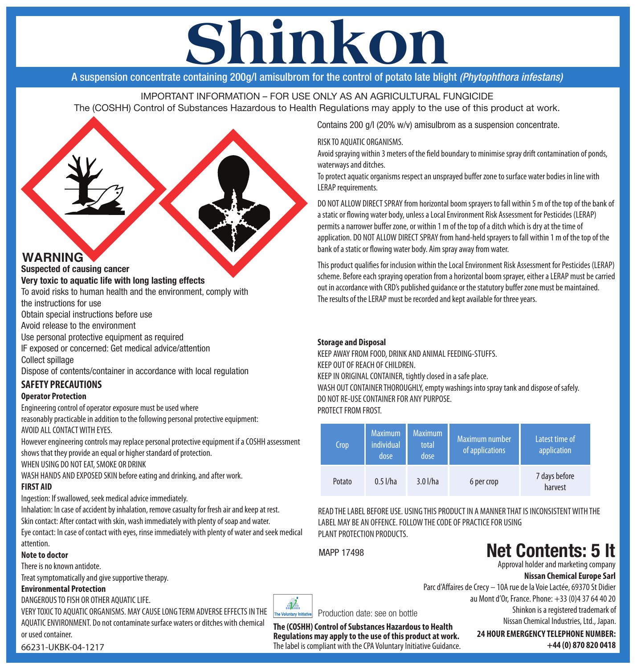# **Shinkon**

A suspension concentrate containing 200g/l amisulbrom for the control of potato late blight *(Phytophthora infestans)*

IMPORTANT INFORMATION – FOR USE ONLY AS AN AGRICULTURAL FUNGICIDE The (COSHH) Control of Substances Hazardous to Health Regulations may apply to the use of this product at work.



**Suspected of causing cancer**

#### **Very toxic to aquatic life with long lasting effects**

To avoid risks to human health and the environment, comply with the instructions for use

Obtain special instructions before use

Avoid release to the environment

Use personal protective equipment as required

IF exposed or concerned: Get medical advice/attention Collect spillage

Dispose of contents/container in accordance with local regulation

### **SAFETY PRECAUTIONS**

#### **Operator Protection**

Engineering control of operator exposure must be used where

reasonably practicable in addition to the following personal protective equipment: AVOID ALL CONTACT WITH EYES.

However engineering controls may replace personal protective equipment if a COSHH assessment shows that they provide an equal or higher standard of protection.

WHEN USING DO NOT EAT, SMOKE OR DRINK

WASH HANDS AND EXPOSED SKIN before eating and drinking, and after work. **FIRST AID**

Ingestion: If swallowed, seek medical advice immediately.

Inhalation: In case of accident by inhalation, remove casualty for fresh air and keep at rest. Skin contact: After contact with skin, wash immediately with plenty of soap and water.

Eye contact: In case of contact with eyes, rinse immediately with plenty of water and seek medical attention.

#### **Note to doctor**

There is no known antidote.

Treat symptomatically and give supportive therapy.

#### **Environmental Protection**

DANGEROUS TO FISH OR OTHER AQUATIC LIFE.

VERY TOXIC TO AQUATIC ORGANISMS. MAY CAUSE LONG TERM ADVERSE EFFECTS IN THE AQUATIC ENVIRONMENT. Do not contaminate surface waters or ditches with chemical or used container.



Production date: see on bottle

**The (COSHH) Control of Substances Hazardous to Health Regulations may apply to the use of this product at work.**  The label is compliant with the CPA Voluntary Initiative Guidance.

Contains 200 g/l (20% w/v) amisulbrom as a suspension concentrate.

#### RISK TO AQUATIC ORGANISMS.

Avoid spraying within 3 meters of the field boundary to minimise spray drift contamination of ponds, waterways and ditches.

To protect aquatic organisms respect an unsprayed buffer zone to surface water bodies in line with LERAP requirements.

DO NOT ALLOW DIRECT SPRAY from horizontal boom sprayers to fall within 5 m of the top of the bank of a static or flowing water body, unless a Local Environment Risk Assessment for Pesticides (LERAP) permits a narrower buffer zone, or within 1 m of the top of a ditch which is dry at the time of application. DO NOT ALLOW DIRECT SPRAY from hand-held sprayers to fall within 1 m of the top of the bank of a static or flowing water body. Aim spray away from water.

This product qualifies for inclusion within the Local Environment Risk Assessment for Pesticides (LERAP) scheme. Before each spraying operation from a horizontal boom sprayer, either a LERAP must be carried out in accordance with CRD's published guidance or the statutory buffer zone must be maintained. The results of the LERAP must be recorded and kept available for three years.

#### **Storage and Disposal**

KEEP AWAY FROM FOOD, DRINK AND ANIMAL FEEDING-STUFFS. KEEP OUT OF REACH OF CHILDREN. KEEP IN ORIGINAL CONTAINER, tightly closed in a safe place. WASH OUT CONTAINER THOROUGHLY, empty washings into spray tank and dispose of safely. DO NOT RE-USE CONTAINER FOR ANY PURPOSE. PROTECT FROM FROST.

| <b>Crop</b> | <b>Maximum</b><br><i>individual</i><br>dose | Maximum<br>total<br>dose | Maximum number<br>of applications | Latest time of<br>application |
|-------------|---------------------------------------------|--------------------------|-----------------------------------|-------------------------------|
| Potato      | $0.5$ I/ha                                  | 3.0 l/ha                 | 6 per crop                        | 7 days before<br>harvest      |

READ THE LABEL BEFORE USE. USING THIS PRODUCT IN A MANNER THAT IS INCONSISTENT WITH THE LABEL MAY BE AN OFFENCE. FOLLOW THE CODE OF PRACTICE FOR USING PLANT PROTECTION PRODUCTS.

MAPP 17498

## **Net Contents: 5 lt**

Approval holder and marketing company

#### **Nissan Chemical Europe Sarl**

Shinkon is a registered trademark of Parc d'Affaires de Crecy – 10A rue de la Voie Lactée, 69370 St Didier au Mont d'Or, France. Phone: +33 (0)4 37 64 40 20

Nissan Chemical Industries, Ltd., Japan.

**24 HOUR EMERGENCY TELEPHONE NUMBER: +44 (0) 870 820 0418**

66231-UKBK-04-1217